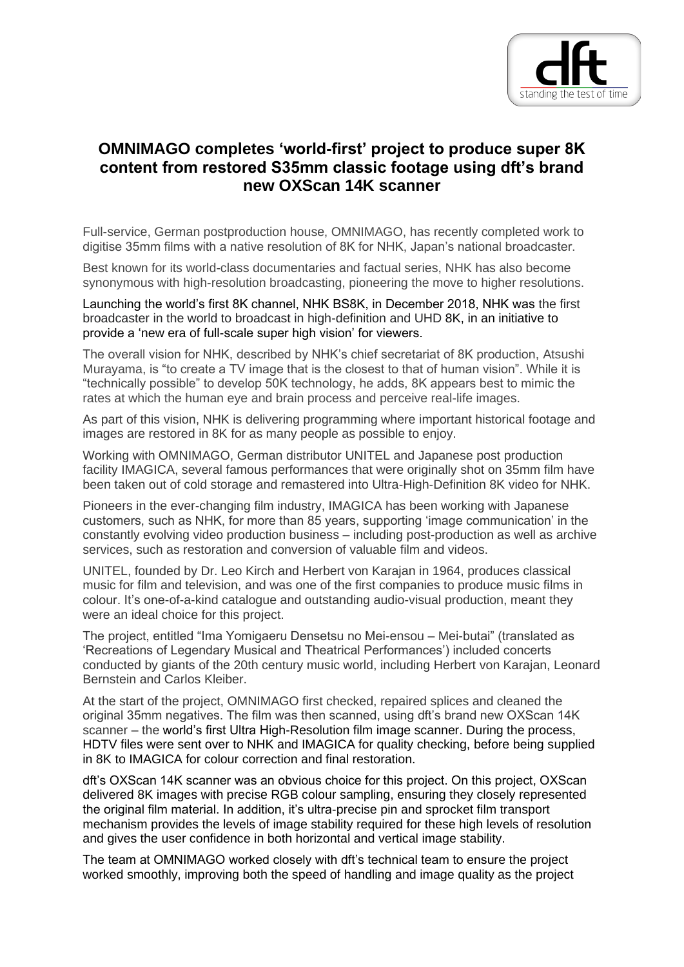

## **OMNIMAGO completes 'world-first' project to produce super 8K content from restored S35mm classic footage using dft's brand new OXScan 14K scanner**

Full-service, German postproduction house, OMNIMAGO, has recently completed work to digitise 35mm films with a native resolution of 8K for NHK, Japan's national broadcaster.

Best known for its world-class documentaries and factual series, NHK has also become synonymous with high-resolution broadcasting, pioneering the move to higher resolutions.

Launching the world's first 8K channel, NHK BS8K, in December 2018, NHK was the first broadcaster in the world to broadcast in high-definition and UHD 8K, in an initiative to provide a 'new era of full-scale super high vision' for viewers.

The overall vision for NHK, described by NHK's chief secretariat of 8K production, Atsushi Murayama, is "to create a TV image that is the closest to that of human vision". While it is "technically possible" to develop 50K technology, he adds, 8K appears best to mimic the rates at which the human eye and brain process and perceive real-life images.

As part of this vision, NHK is delivering programming where important historical footage and images are restored in 8K for as many people as possible to enjoy.

Working with OMNIMAGO, German distributor UNITEL and Japanese post production facility IMAGICA, several famous performances that were originally shot on 35mm film have been taken out of cold storage and remastered into Ultra-High-Definition 8K video for NHK.

Pioneers in the ever-changing film industry, IMAGICA has been working with Japanese customers, such as NHK, for more than 85 years, supporting 'image communication' in the constantly evolving video production business – including post-production as well as archive services, such as restoration and conversion of valuable film and videos.

UNITEL, founded by Dr. Leo Kirch and Herbert von Karajan in 1964, produces classical music for film and television, and was one of the first companies to produce music films in colour. It's one-of-a-kind catalogue and outstanding audio-visual production, meant they were an ideal choice for this project.

The project, entitled "Ima Yomigaeru Densetsu no Mei-ensou – Mei-butai" (translated as 'Recreations of Legendary Musical and Theatrical Performances') included concerts conducted by giants of the 20th century music world, including Herbert von Karajan, Leonard Bernstein and Carlos Kleiber.

At the start of the project, OMNIMAGO first checked, repaired splices and cleaned the original 35mm negatives. The film was then scanned, using dft's brand new OXScan 14K scanner – the world's first Ultra High-Resolution film image scanner. During the process, HDTV files were sent over to NHK and IMAGICA for quality checking, before being supplied in 8K to IMAGICA for colour correction and final restoration.

dft's OXScan 14K scanner was an obvious choice for this project. On this project, OXScan delivered 8K images with precise RGB colour sampling, ensuring they closely represented the original film material. In addition, it's ultra-precise pin and sprocket film transport mechanism provides the levels of image stability required for these high levels of resolution and gives the user confidence in both horizontal and vertical image stability.

The team at OMNIMAGO worked closely with dft's technical team to ensure the project worked smoothly, improving both the speed of handling and image quality as the project